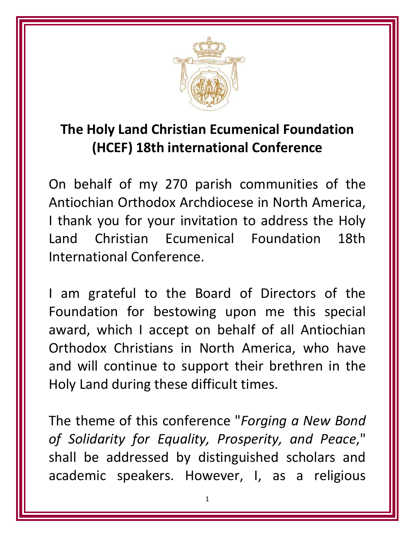

## **The Holy Land Christian Ecumenical Foundation (HCEF) 18th international Conference**

On behalf of my 270 parish communities of the Antiochian Orthodox Archdiocese in North America, I thank you for your invitation to address the Holy Land Christian Ecumenical Foundation 18th International Conference.

I am grateful to the Board of Directors of the Foundation for bestowing upon me this special award, which I accept on behalf of all Antiochian Orthodox Christians in North America, who have and will continue to support their brethren in the Holy Land during these difficult times.

The theme of this conference "*Forging a New Bond of Solidarity for Equality, Prosperity, and Peace*," shall be addressed by distinguished scholars and academic speakers. However, I, as a religious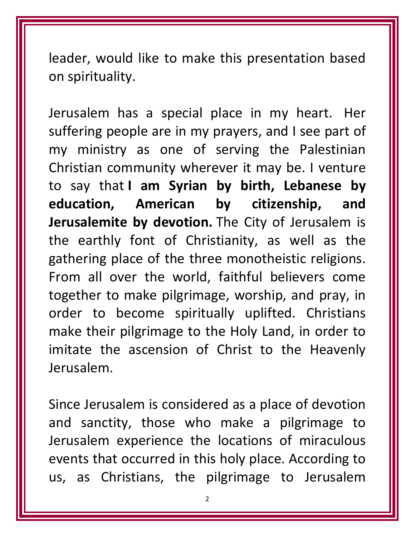leader, would like to make this presentation based on spirituality.

Jerusalem has a special place in my heart. Her suffering people are in my prayers, and I see part of my ministry as one of serving the Palestinian Christian community wherever it may be. I venture to say that **I am Syrian by birth, Lebanese by education, American by citizenship, and Jerusalemite by devotion.** The City of Jerusalem is the earthly font of Christianity, as well as the gathering place of the three monotheistic religions. From all over the world, faithful believers come together to make pilgrimage, worship, and pray, in order to become spiritually uplifted. Christians make their pilgrimage to the Holy Land, in order to imitate the ascension of Christ to the Heavenly Jerusalem.

Since Jerusalem is considered as a place of devotion and sanctity, those who make a pilgrimage to Jerusalem experience the locations of miraculous events that occurred in this holy place. According to us, as Christians, the pilgrimage to Jerusalem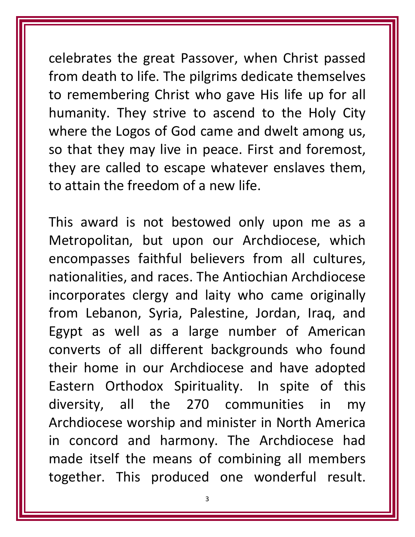celebrates the great Passover, when Christ passed from death to life. The pilgrims dedicate themselves to remembering Christ who gave His life up for all humanity. They strive to ascend to the Holy City where the Logos of God came and dwelt among us, so that they may live in peace. First and foremost, they are called to escape whatever enslaves them, to attain the freedom of a new life.

This award is not bestowed only upon me as a Metropolitan, but upon our Archdiocese, which encompasses faithful believers from all cultures, nationalities, and races. The Antiochian Archdiocese incorporates clergy and laity who came originally from Lebanon, Syria, Palestine, Jordan, Iraq, and Egypt as well as a large number of American converts of all different backgrounds who found their home in our Archdiocese and have adopted Eastern Orthodox Spirituality. In spite of this diversity, all the 270 communities in my Archdiocese worship and minister in North America in concord and harmony. The Archdiocese had made itself the means of combining all members together. This produced one wonderful result.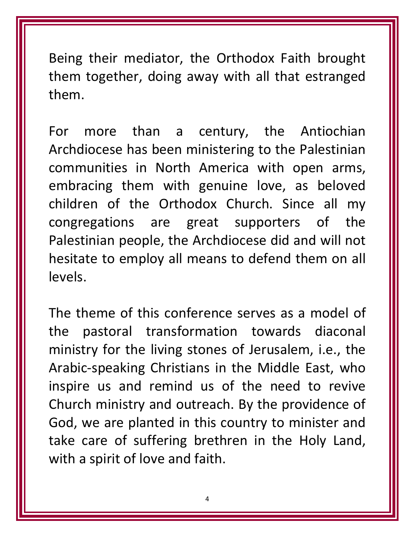Being their mediator, the Orthodox Faith brought them together, doing away with all that estranged them.

For more than a century, the Antiochian Archdiocese has been ministering to the Palestinian communities in North America with open arms, embracing them with genuine love, as beloved children of the Orthodox Church. Since all my congregations are great supporters of the Palestinian people, the Archdiocese did and will not hesitate to employ all means to defend them on all levels.

The theme of this conference serves as a model of the pastoral transformation towards diaconal ministry for the living stones of Jerusalem, i.e., the Arabic‐speaking Christians in the Middle East, who inspire us and remind us of the need to revive Church ministry and outreach. By the providence of God, we are planted in this country to minister and take care of suffering brethren in the Holy Land, with a spirit of love and faith.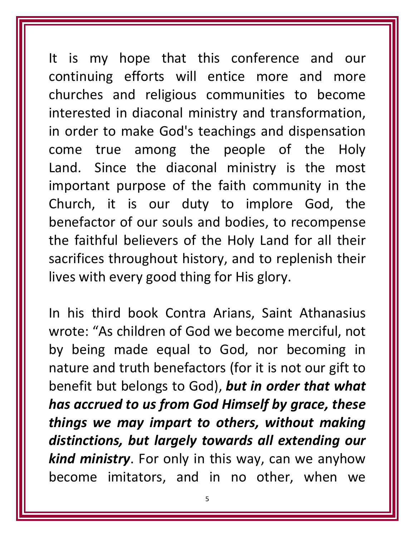It is my hope that this conference and our continuing efforts will entice more and more churches and religious communities to become interested in diaconal ministry and transformation, in order to make God's teachings and dispensation come true among the people of the Holy Land. Since the diaconal ministry is the most important purpose of the faith community in the Church, it is our duty to implore God, the benefactor of our souls and bodies, to recompense the faithful believers of the Holy Land for all their sacrifices throughout history, and to replenish their lives with every good thing for His glory.

In his third book Contra Arians, Saint Athanasius wrote: "As children of God we become merciful, not by being made equal to God, nor becoming in nature and truth benefactors (for it is not our gift to benefit but belongs to God), *but in order that what has accrued to us from God Himself by grace, these things we may impart to others, without making distinctions, but largely towards all extending our kind ministry*. For only in this way, can we anyhow become imitators, and in no other, when we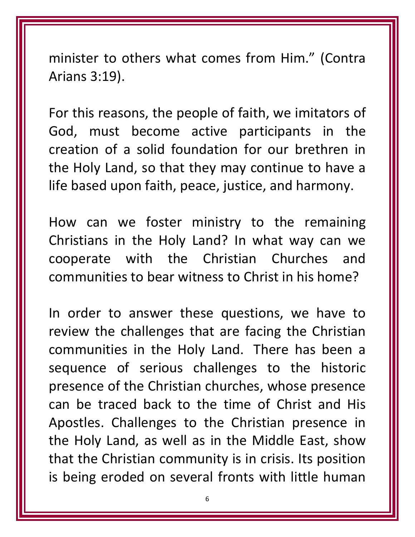minister to others what comes from Him." (Contra Arians 3:19).

For this reasons, the people of faith, we imitators of God, must become active participants in the creation of a solid foundation for our brethren in the Holy Land, so that they may continue to have a life based upon faith, peace, justice, and harmony.

How can we foster ministry to the remaining Christians in the Holy Land? In what way can we cooperate with the Christian Churches and communities to bear witness to Christ in his home?

In order to answer these questions, we have to review the challenges that are facing the Christian communities in the Holy Land. There has been a sequence of serious challenges to the historic presence of the Christian churches, whose presence can be traced back to the time of Christ and His Apostles. Challenges to the Christian presence in the Holy Land, as well as in the Middle East, show that the Christian community is in crisis. Its position is being eroded on several fronts with little human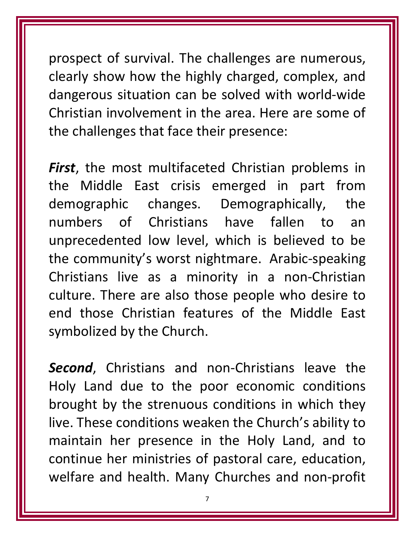prospect of survival. The challenges are numerous, clearly show how the highly charged, complex, and dangerous situation can be solved with world‐wide Christian involvement in the area. Here are some of the challenges that face their presence:

*First*, the most multifaceted Christian problems in the Middle East crisis emerged in part from demographic changes. Demographically, the numbers of Christians have fallen to an unprecedented low level, which is believed to be the community's worst nightmare. Arabic‐speaking Christians live as a minority in a non‐Christian culture. There are also those people who desire to end those Christian features of the Middle East symbolized by the Church.

*Second*, Christians and non‐Christians leave the Holy Land due to the poor economic conditions brought by the strenuous conditions in which they live. These conditions weaken the Church's ability to maintain her presence in the Holy Land, and to continue her ministries of pastoral care, education, welfare and health. Many Churches and non‐profit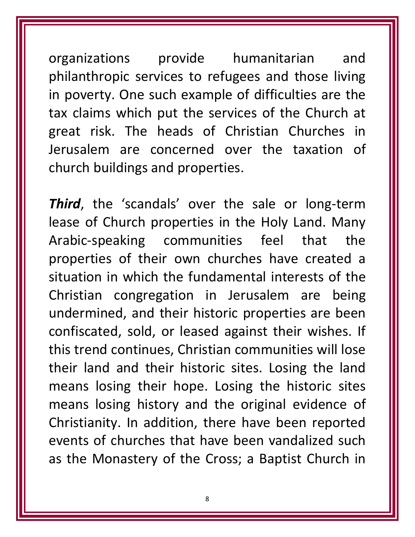organizations provide humanitarian and philanthropic services to refugees and those living in poverty. One such example of difficulties are the tax claims which put the services of the Church at great risk. The heads of Christian Churches in Jerusalem are concerned over the taxation of church buildings and properties.

**Third**, the 'scandals' over the sale or long-term lease of Church properties in the Holy Land. Many Arabic‐speaking communities feel that the properties of their own churches have created a situation in which the fundamental interests of the Christian congregation in Jerusalem are being undermined, and their historic properties are been confiscated, sold, or leased against their wishes. If this trend continues, Christian communities will lose their land and their historic sites. Losing the land means losing their hope. Losing the historic sites means losing history and the original evidence of Christianity. In addition, there have been reported events of churches that have been vandalized such as the Monastery of the Cross; a Baptist Church in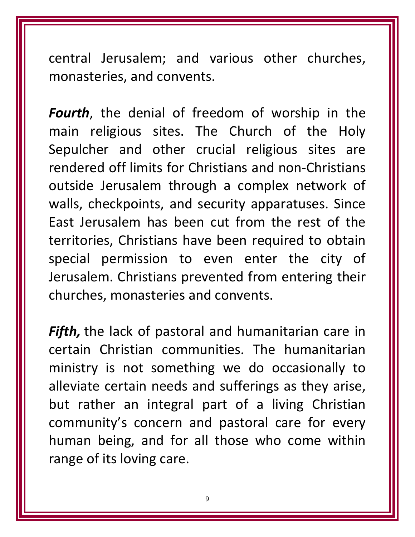central Jerusalem; and various other churches, monasteries, and convents.

*Fourth*, the denial of freedom of worship in the main religious sites. The Church of the Holy Sepulcher and other crucial religious sites are rendered off limits for Christians and non‐Christians outside Jerusalem through a complex network of walls, checkpoints, and security apparatuses. Since East Jerusalem has been cut from the rest of the territories, Christians have been required to obtain special permission to even enter the city of Jerusalem. Christians prevented from entering their churches, monasteries and convents.

*Fifth,* the lack of pastoral and humanitarian care in certain Christian communities. The humanitarian ministry is not something we do occasionally to alleviate certain needs and sufferings as they arise, but rather an integral part of a living Christian community's concern and pastoral care for every human being, and for all those who come within range of its loving care.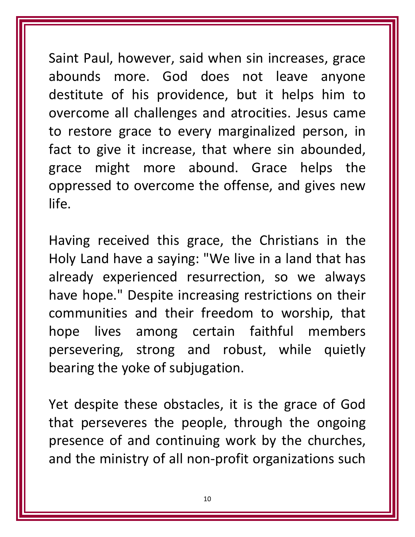Saint Paul, however, said when sin increases, grace abounds more. God does not leave anyone destitute of his providence, but it helps him to overcome all challenges and atrocities. Jesus came to restore grace to every marginalized person, in fact to give it increase, that where sin abounded, grace might more abound. Grace helps the oppressed to overcome the offense, and gives new life.

Having received this grace, the Christians in the Holy Land have a saying: "We live in a land that has already experienced resurrection, so we always have hope." Despite increasing restrictions on their communities and their freedom to worship, that hope lives among certain faithful members persevering, strong and robust, while quietly bearing the yoke of subjugation.

Yet despite these obstacles, it is the grace of God that perseveres the people, through the ongoing presence of and continuing work by the churches, and the ministry of all non‐profit organizations such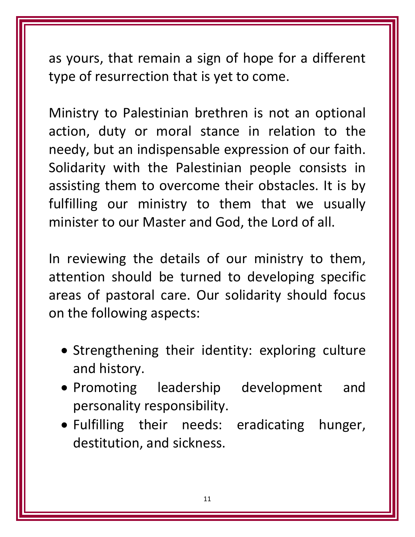as yours, that remain a sign of hope for a different type of resurrection that is yet to come.

Ministry to Palestinian brethren is not an optional action, duty or moral stance in relation to the needy, but an indispensable expression of our faith. Solidarity with the Palestinian people consists in assisting them to overcome their obstacles. It is by fulfilling our ministry to them that we usually minister to our Master and God, the Lord of all.

In reviewing the details of our ministry to them, attention should be turned to developing specific areas of pastoral care. Our solidarity should focus on the following aspects:

- Strengthening their identity: exploring culture and history.
- Promoting leadership development and personality responsibility.
- Fulfilling their needs: eradicating hunger, destitution, and sickness.